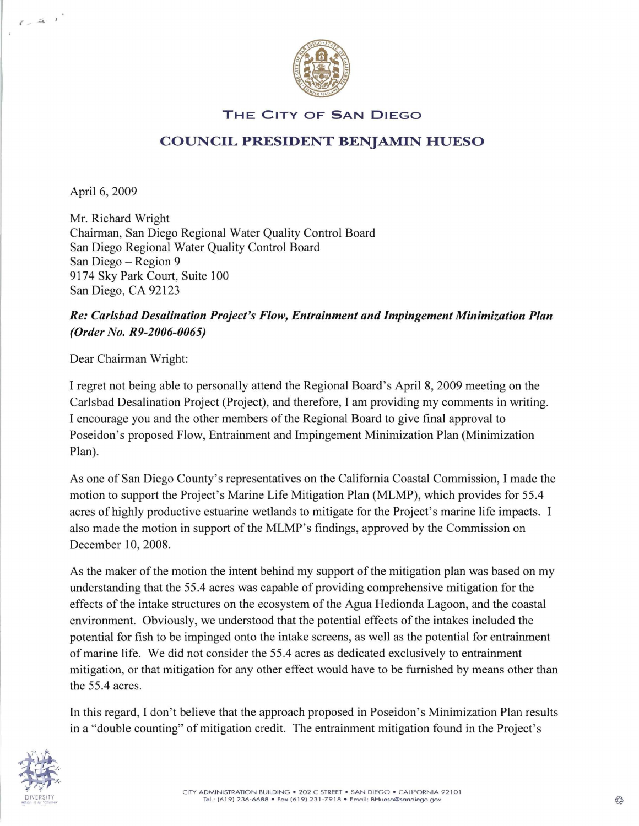

## THE CITY OF SAN DIEGO

## COUNCIL PRESIDENT BENJAMIN HUESO

April 6, 2009

 $\mathcal{E}=\mathcal{Z}_0-1$ 

Mr. Richard Wright Chairman, San Diego Regional Water Quality Control Board San Diego Regional Water Quality Control Board San Diego - Region 9 9174 Sky Park Court, Suite 100 San Diego, CA 92123

## *Re: Carlsbad Desalination Project's Flow, Entrainment and Impingement Minimization Plan (Order No. R9-2006-0065)*

Dear Chairman Wright:

I regret not being able to personally attend the Regional Board's April 8,2009 meeting on the Carlsbad Desalination Project (Project), and therefore, I am providing my comments in writing. I encourage you and the other members of the Regional Board to give final approval to Poseidon's proposed Flow, Entrainment and Impingement Minimization Plan (Minimization Plan).

As one of San Diego County's representatives on the California Coastal Commission, I made the motion to support the Project's Marine Life Mitigation Plan (MLMP), which provides for 55.4 acres of highly productive estuarine wetlands to mitigate for the Project's marine life impacts. I also made the motion in support of the MLMP's findings, approved by the Commission on December 10, 2008.

As the maker of the motion the intent behind my support of the mitigation plan was based on my understanding that the 55.4 acres was capable of providing comprehensive mitigation for the effects of the intake structures on the ecosystem of the Agua Hedionda Lagoon, and the coastal environment. Obviously, we understood that the potential effects of the intakes included the potential for fish to be impinged onto the intake screens, as well as the potential for entrainment of marine life. We did not consider the 55.4 acres as dedicated exclusively to entrainment mitigation, or that mitigation for any other effect would have to be furnished by means other than the 55.4 acres.

In this regard, I don't believe that the approach proposed in Poseidon's Minimization Plan results in a "double counting" of mitigation credit. The entrainment mitigation found in the Project's